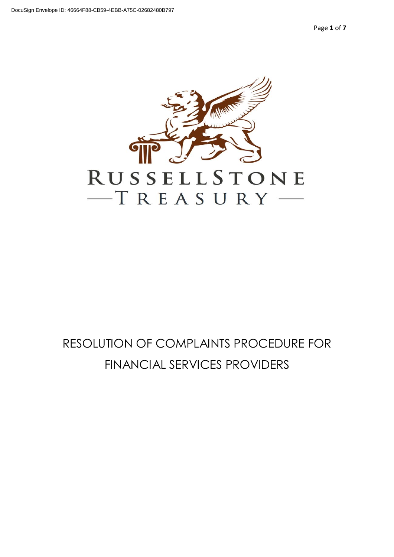Page **1** of **7**



# RESOLUTION OF COMPLAINTS PROCEDURE FOR FINANCIAL SERVICES PROVIDERS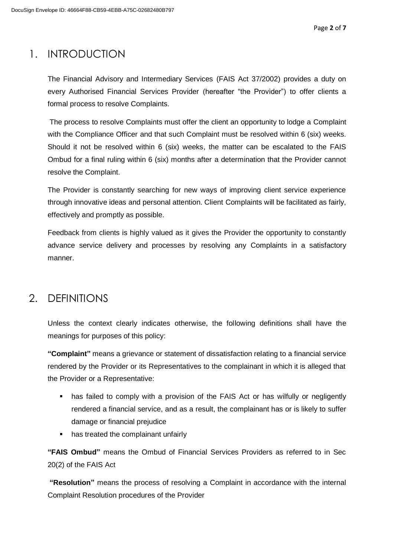### 1. INTRODUCTION

The Financial Advisory and Intermediary Services (FAIS Act 37/2002) provides a duty on every Authorised Financial Services Provider (hereafter "the Provider") to offer clients a formal process to resolve Complaints.

The process to resolve Complaints must offer the client an opportunity to lodge a Complaint with the Compliance Officer and that such Complaint must be resolved within 6 (six) weeks. Should it not be resolved within 6 (six) weeks, the matter can be escalated to the FAIS Ombud for a final ruling within 6 (six) months after a determination that the Provider cannot resolve the Complaint.

The Provider is constantly searching for new ways of improving client service experience through innovative ideas and personal attention. Client Complaints will be facilitated as fairly, effectively and promptly as possible.

Feedback from clients is highly valued as it gives the Provider the opportunity to constantly advance service delivery and processes by resolving any Complaints in a satisfactory manner.

### 2. DEFINITIONS

Unless the context clearly indicates otherwise, the following definitions shall have the meanings for purposes of this policy:

**"Complaint"** means a grievance or statement of dissatisfaction relating to a financial service rendered by the Provider or its Representatives to the complainant in which it is alleged that the Provider or a Representative:

- **•** has failed to comply with a provision of the FAIS Act or has wilfully or negligently rendered a financial service, and as a result, the complainant has or is likely to suffer damage or financial prejudice
- has treated the complainant unfairly

**"FAIS Ombud"** means the Ombud of Financial Services Providers as referred to in Sec 20(2) of the FAIS Act

**"Resolution"** means the process of resolving a Complaint in accordance with the internal Complaint Resolution procedures of the Provider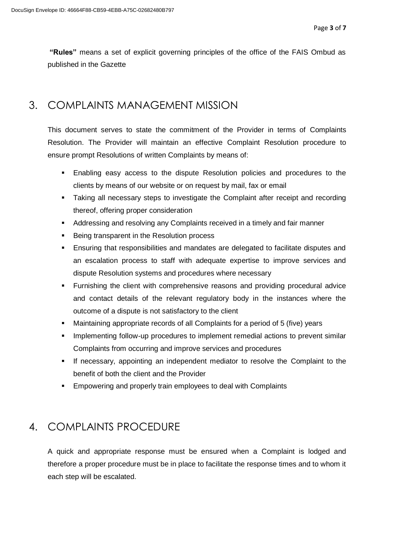**"Rules"** means a set of explicit governing principles of the office of the FAIS Ombud as published in the Gazette

### 3. COMPLAINTS MANAGEMENT MISSION

This document serves to state the commitment of the Provider in terms of Complaints Resolution. The Provider will maintain an effective Complaint Resolution procedure to ensure prompt Resolutions of written Complaints by means of:

- Enabling easy access to the dispute Resolution policies and procedures to the clients by means of our website or on request by mail, fax or email
- **•** Taking all necessary steps to investigate the Complaint after receipt and recording thereof, offering proper consideration
- **E** Addressing and resolving any Complaints received in a timely and fair manner
- Being transparent in the Resolution process
- **Ensuring that responsibilities and mandates are delegated to facilitate disputes and** an escalation process to staff with adequate expertise to improve services and dispute Resolution systems and procedures where necessary
- **E** Furnishing the client with comprehensive reasons and providing procedural advice and contact details of the relevant regulatory body in the instances where the outcome of a dispute is not satisfactory to the client
- Maintaining appropriate records of all Complaints for a period of 5 (five) years
- Implementing follow-up procedures to implement remedial actions to prevent similar Complaints from occurring and improve services and procedures
- If necessary, appointing an independent mediator to resolve the Complaint to the benefit of both the client and the Provider
- Empowering and properly train employees to deal with Complaints

### 4. COMPLAINTS PROCEDURE

A quick and appropriate response must be ensured when a Complaint is lodged and therefore a proper procedure must be in place to facilitate the response times and to whom it each step will be escalated.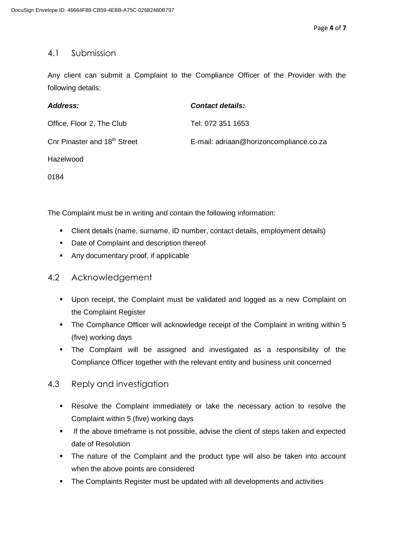#### 4.1 Submission

Any client can submit a Complaint to the Compliance Officer of the Provider with the following details:

| Address:                                 | <b>Contact details:</b>                 |
|------------------------------------------|-----------------------------------------|
| Office, Floor 2, The Club                | Tel: 072 351 1653                       |
| Cnr Pinaster and 18 <sup>th</sup> Street | E-mail: adriaan@horizoncompliance.co.za |
| Hazelwood                                |                                         |

0184

The Complaint must be in writing and contain the following information:

- Client details (name, surname, ID number, contact details, employment details)
- Date of Complaint and description thereof
- Any documentary proof, if applicable
- 4.2 Acknowledgement
	- Upon receipt, the Complaint must be validated and logged as a new Complaint on the Complaint Register
	- The Compliance Officer will acknowledge receipt of the Complaint in writing within 5 (five) working days
	- The Complaint will be assigned and investigated as a responsibility of the Compliance Officer together with the relevant entity and business unit concerned

#### 4.3 Reply and investigation

- Resolve the Complaint immediately or take the necessary action to resolve the Complaint within 5 (five) working days
- **.** If the above timeframe is not possible, advise the client of steps taken and expected date of Resolution
- The nature of the Complaint and the product type will also be taken into account when the above points are considered
- The Complaints Register must be updated with all developments and activities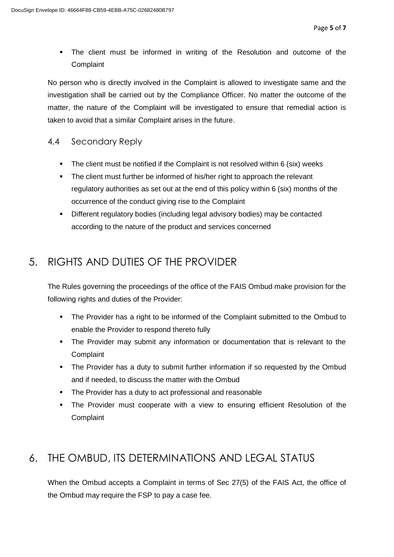▪ The client must be informed in writing of the Resolution and outcome of the **Complaint** 

No person who is directly involved in the Complaint is allowed to investigate same and the investigation shall be carried out by the Compliance Officer. No matter the outcome of the matter, the nature of the Complaint will be investigated to ensure that remedial action is taken to avoid that a similar Complaint arises in the future.

#### 4.4 Secondary Reply

- The client must be notified if the Complaint is not resolved within 6 (six) weeks
- **•** The client must further be informed of his/her right to approach the relevant regulatory authorities as set out at the end of this policy within 6 (six) months of the occurrence of the conduct giving rise to the Complaint
- Different regulatory bodies (including legal advisory bodies) may be contacted according to the nature of the product and services concerned

## 5. RIGHTS AND DUTIES OF THE PROVIDER

The Rules governing the proceedings of the office of the FAIS Ombud make provision for the following rights and duties of the Provider:

- The Provider has a right to be informed of the Complaint submitted to the Ombud to enable the Provider to respond thereto fully
- **The Provider may submit any information or documentation that is relevant to the Complaint**
- The Provider has a duty to submit further information if so requested by the Ombud and if needed, to discuss the matter with the Ombud
- The Provider has a duty to act professional and reasonable
- The Provider must cooperate with a view to ensuring efficient Resolution of the **Complaint**

### 6. THE OMBUD, ITS DETERMINATIONS AND LEGAL STATUS

When the Ombud accepts a Complaint in terms of Sec 27(5) of the FAIS Act, the office of the Ombud may require the FSP to pay a case fee.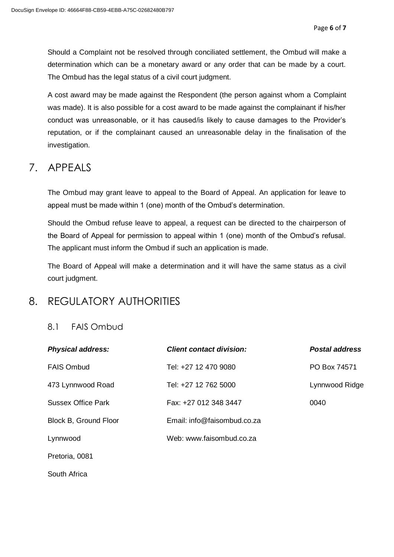Should a Complaint not be resolved through conciliated settlement, the Ombud will make a determination which can be a monetary award or any order that can be made by a court. The Ombud has the legal status of a civil court judgment.

A cost award may be made against the Respondent (the person against whom a Complaint was made). It is also possible for a cost award to be made against the complainant if his/her conduct was unreasonable, or it has caused/is likely to cause damages to the Provider's reputation, or if the complainant caused an unreasonable delay in the finalisation of the investigation.

### 7. APPEALS

The Ombud may grant leave to appeal to the Board of Appeal. An application for leave to appeal must be made within 1 (one) month of the Ombud's determination.

Should the Ombud refuse leave to appeal, a request can be directed to the chairperson of the Board of Appeal for permission to appeal within 1 (one) month of the Ombud's refusal. The applicant must inform the Ombud if such an application is made.

The Board of Appeal will make a determination and it will have the same status as a civil court judgment.

### 8. REGULATORY AUTHORITIES

#### 8.1 FAIS Ombud

| <b>Physical address:</b>  | <b>Client contact division:</b> | <b>Postal address</b> |
|---------------------------|---------------------------------|-----------------------|
| <b>FAIS Ombud</b>         | Tel: +27 12 470 9080            | PO Box 74571          |
| 473 Lynnwood Road         | Tel: +27 12 762 5000            | Lynnwood Ridge        |
| <b>Sussex Office Park</b> | Fax: +27 012 348 3447           | 0040                  |
| Block B, Ground Floor     | Email: info@faisombud.co.za     |                       |
| Lynnwood                  | Web: www.faisombud.co.za        |                       |
| Pretoria, 0081            |                                 |                       |
| South Africa              |                                 |                       |